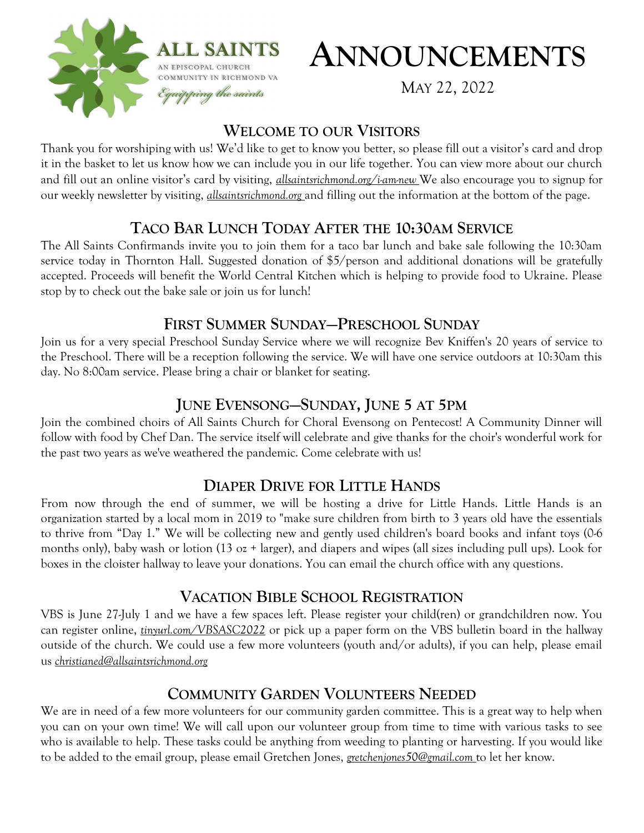

# **ANNOUNCEMENTS**

MAY 22, 2022

## **WELCOME TO OUR VISITORS**

Thank you for worshiping with us! We'd like to get to know you better, so please fill out a visitor's card and drop it in the basket to let us know how we can include you in our life together. You can view more about our church and fill out an online visitor's card by visiting, *allsaintsrichmond.org/i-am-new* We also encourage you to signup for our weekly newsletter by visiting, *allsaintsrichmond.org* and filling out the information at the bottom of the page.

# **TACO BAR LUNCH TODAY AFTER THE 10:30AM SERVICE**

The All Saints Confirmands invite you to join them for a taco bar lunch and bake sale following the 10:30am service today in Thornton Hall. Suggested donation of \$5/person and additional donations will be gratefully accepted. Proceeds will benefit the World Central Kitchen which is helping to provide food to Ukraine. Please stop by to check out the bake sale or join us for lunch!

## **FIRST SUMMER SUNDAY—PRESCHOOL SUNDAY**

Join us for a very special Preschool Sunday Service where we will recognize Bev Kniffen's 20 years of service to the Preschool. There will be a reception following the service. We will have one service outdoors at 10:30am this day. No 8:00am service. Please bring a chair or blanket for seating.

# **JUNE EVENSONG—SUNDAY, JUNE 5 AT 5PM**

Join the combined choirs of All Saints Church for Choral Evensong on Pentecost! A Community Dinner will follow with food by Chef Dan. The service itself will celebrate and give thanks for the choir's wonderful work for the past two years as we've weathered the pandemic. Come celebrate with us!

# **DIAPER DRIVE FOR LITTLE HANDS**

From now through the end of summer, we will be hosting a drive for Little Hands. Little Hands is an organization started by a local mom in 2019 to "make sure children from birth to 3 years old have the essentials to thrive from "Day 1." We will be collecting new and gently used children's board books and infant toys (0-6 months only), baby wash or lotion (13 oz + larger), and diapers and wipes (all sizes including pull ups). Look for boxes in the cloister hallway to leave your donations. You can email the church office with any questions.

# **VACATION BIBLE SCHOOL REGISTRATION**

VBS is June 27-July 1 and we have a few spaces left. Please register your child(ren) or grandchildren now. You can register online, *tinyurl.com/VBSASC2022* or pick up a paper form on the VBS bulletin board in the hallway outside of the church. We could use a few more volunteers (youth and/or adults), if you can help, please email us *christianed@allsaintsrichmond.org* 

# **COMMUNITY GARDEN VOLUNTEERS NEEDED**

We are in need of a few more volunteers for our community garden committee. This is a great way to help when you can on your own time! We will call upon our volunteer group from time to time with various tasks to see who is available to help. These tasks could be anything from weeding to planting or harvesting. If you would like to be added to the email group, please email Gretchen Jones, *gretchenjones50@gmail.com* to let her know.